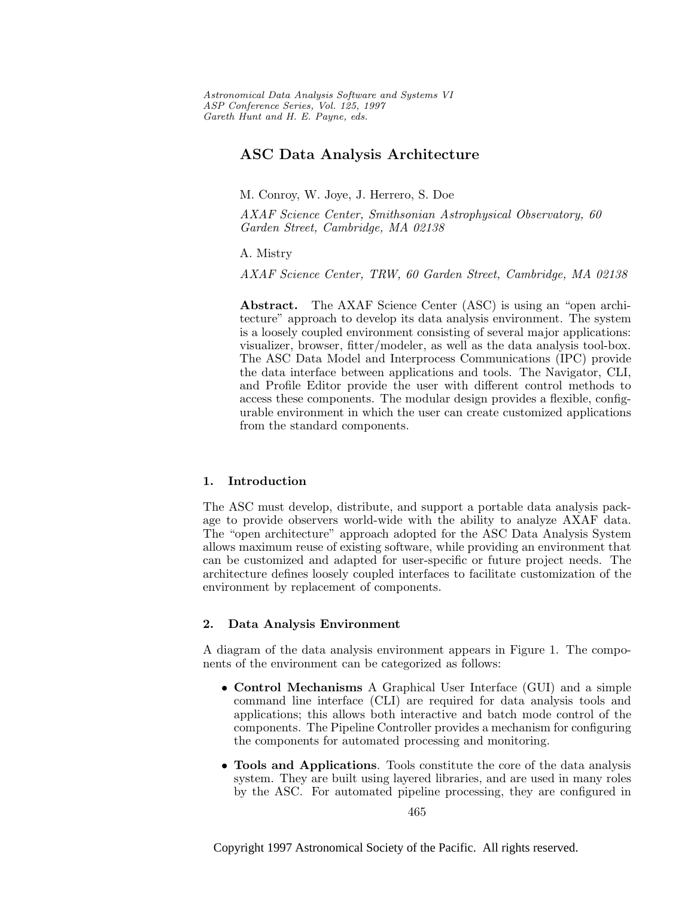Astronomical Data Analysis Software and Systems VI ASP Conference Series, Vol. 125, 1997 Gareth Hunt and H. E. Payne, e ds.

# **ASC Data Analysis Architecture**

M. Conroy, W. Joye, J. Herrero, S. Doe

AXAF Science Center, Smithsonian Astrophysical Observatory, 60 Garden Street, Cambridge, MA 02138

A. Mistry

AXAF Science Center, TRW, 60 Garden Street, Cambridge, MA 02138

**Abstract.** The AXAF Science Center (ASC) is using an "open architecture" approach to develop its data analysis environment. The system is a loosely coupled environment consisting of several major applications: visualizer, browser, fitter/modeler, as well as the data analysis tool-box. The ASC Data Model and Interprocess Communications (IPC) provide the data interface between applications and tools. The Navigator, CLI, and Profile Editor provide the user with different control methods to access these components. The modular design provides a flexible, configurable environment in which the user can create customized applications from the standard components.

## **1. Introduction**

The ASC must develop, distribute, and support a portable data analysis package to provide observers world-wide with the ability to analyze AXAF data. The "open architecture" approach adopted for the ASC Data Analysis System allows maximum reuse of existing software, while providing an environment that can be customized and adapted for user-specific or future project needs. The architecture defines loosely coupled interfaces to facilitate customization of the environment by replacement of components.

## **2. Data Analysis Environment**

A diagram of the data analysis environment appears in Figure 1. The components of the environment can be categorized as follows:

- **Control Mechanisms** A Graphical User Interface (GUI) and a simple command line interface (CLI) are required for data analysis tools and applications; this allows both interactive and batch mode control of the components. The Pipeline Controller provides a mechanism for configuring the components for automated processing and monitoring.
- **Tools and Applications**. Tools constitute the core of the data analysis system. They are built using layered libraries, and are used in many roles by the ASC. For automated pipeline processing, they are configured in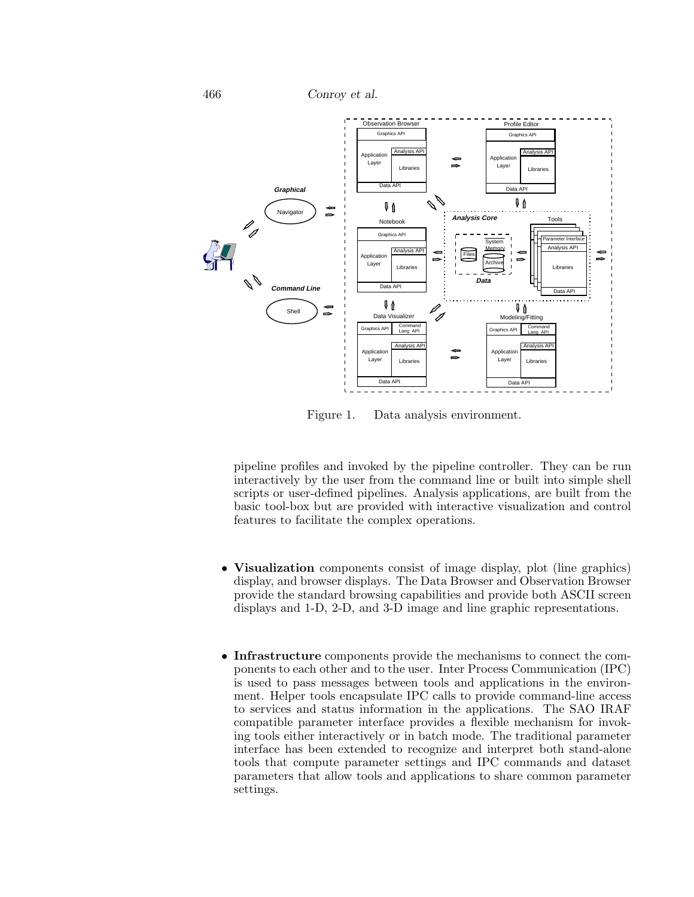466 *Conroy et al.*



Figure 1. Data analysis environment.

pipeline profiles and invoked by the pipeline controller. They can be run interactively by the user from the command line or built into simple shell scripts or user-defined pipelines. Analysis applications, are built from the basic tool-box but are provided with interactive visualization and control features to facilitate the complex operations.

- **Visualization** components consist of image display, plot (line graphics) display, and browser displays. The Data Browser and Observation Browser provide the standard browsing capabilities and provide both ASCII screen displays and 1-D, 2-D, and 3-D image and line graphic representations.
- **Infrastructure** components provide the mechanisms to connect the components to each other and to the user. Inter Process Communication (IPC) is used to pass messages between tools and applications in the environment. Helper tools encapsulate IPC calls to provide command-line access to services and status information in the applications. The SAO IRAF compatible parameter interface provides a flexible mechanism for invoking tools either interactively or in batch mode. The traditional parameter interface has been extended to recognize and interpret both stand-alone tools that compute parameter settings and IPC commands and dataset parameters that allow tools and applications to share common parameter settings.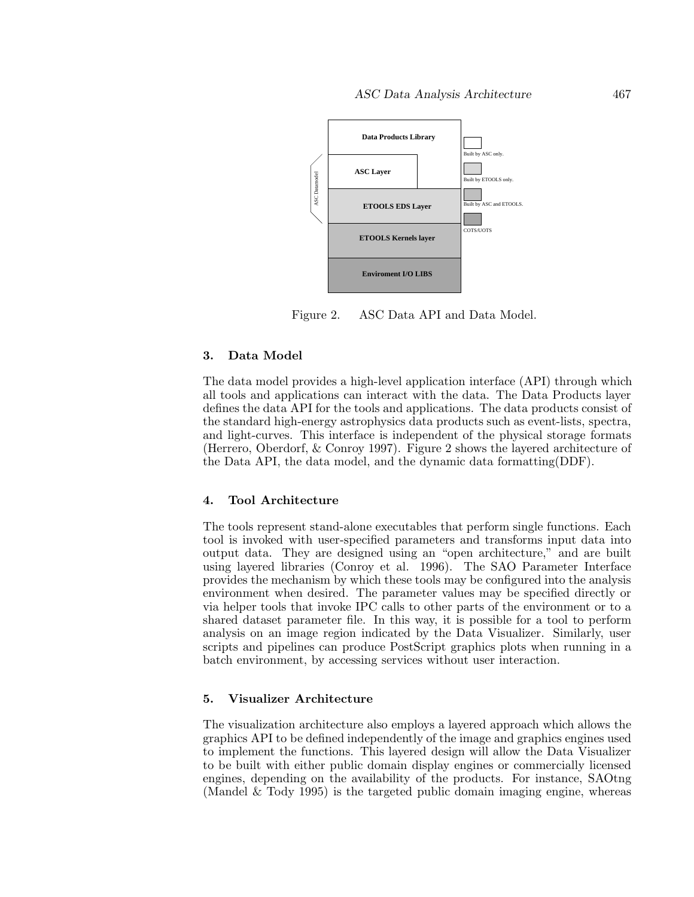

Figure 2. ASC Data API and Data Model.

# **3. Data Model**

The data model provides a high-level application interface (API) through which all tools and applications can interact with the data. The Data Products layer defines the data API for the tools and applications. The data products consist of the standard high-energy astrophysics data products such as event-lists, spectra, and light-curves. This interface is independent of the physical storage formats (Herrero, Oberdorf, & Conroy 1997). Figure 2 shows the layered architecture of the Data API, the data model, and the dynamic data formatting(DDF).

## **4. Tool Architecture**

The tools represent stand-alone executables that perform single functions. Each tool is invoked with user-specified parameters and transforms input data into output data. They are designed using an "open architecture," and are built using layered libraries (Conroy et al. 1996). The SAO Parameter Interface provides the mechanism by which these tools may be configured into the analysis environment when desired. The parameter values may be specified directly or via helper tools that invoke IPC calls to other parts of the environment or to a shared dataset parameter file. In this way, it is possible for a tool to perform analysis on an image region indicated by the Data Visualizer. Similarly, user scripts and pipelines can produce PostScript graphics plots when running in a batch environment, by accessing services without user interaction.

# **5. Visualizer Architecture**

The visualization architecture also employs a layered approach which allows the graphics API to be defined independently of the image and graphics engines used to implement the functions. This layered design will allow the Data Visualizer to be built with either public domain display engines or commercially licensed engines, depending on the availability of the products. For instance, SAOtng (Mandel & Tody 1995) is the targeted public domain imaging engine, whereas